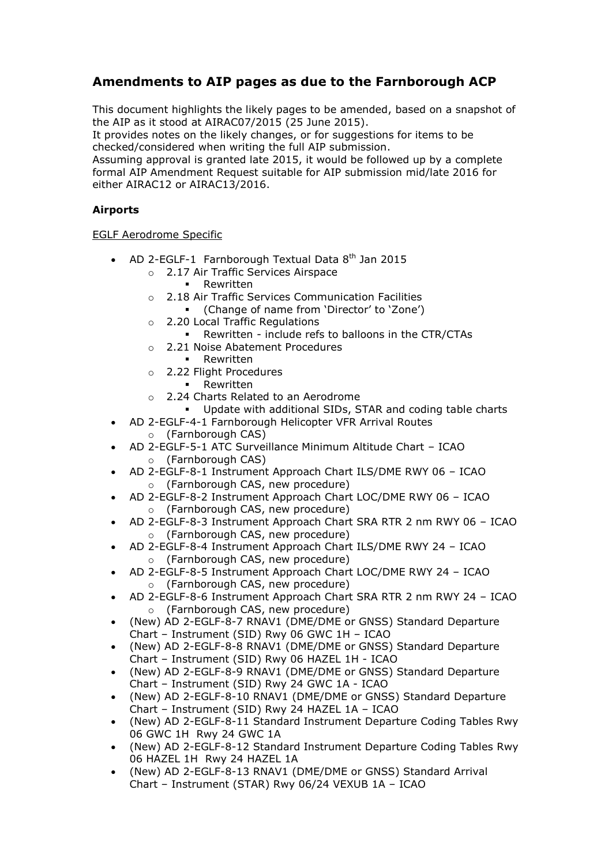# **Amendments to AIP pages as due to the Farnborough ACP**

This document highlights the likely pages to be amended, based on a snapshot of the AIP as it stood at AIRAC07/2015 (25 June 2015).

It provides notes on the likely changes, or for suggestions for items to be checked/considered when writing the full AIP submission.

Assuming approval is granted late 2015, it would be followed up by a complete formal AIP Amendment Request suitable for AIP submission mid/late 2016 for either AIRAC12 or AIRAC13/2016.

### **Airports**

#### EGLF Aerodrome Specific

- AD 2-EGLF-1 Farnborough Textual Data  $8<sup>th</sup>$  Jan 2015
	- o 2.17 Air Traffic Services Airspace
		- **-** Rewritten
	- o 2.18 Air Traffic Services Communication Facilities
		- (Change of name from 'Director' to 'Zone')
	- o 2.20 Local Traffic Regulations
		- Rewritten include refs to balloons in the CTR/CTAs
	- o 2.21 Noise Abatement Procedures
		- **-** Rewritten
	- o 2.22 Flight Procedures
		- **Rewritten**
	- o 2.24 Charts Related to an Aerodrome
	- Update with additional SIDs, STAR and coding table charts
- AD 2-EGLF-4-1 Farnborough Helicopter VFR Arrival Routes
	- o (Farnborough CAS)
- AD 2-EGLF-5-1 ATC Surveillance Minimum Altitude Chart ICAO o (Farnborough CAS)
- AD 2-EGLF-8-1 Instrument Approach Chart ILS/DME RWY 06 ICAO o (Farnborough CAS, new procedure)
- AD 2-EGLF-8-2 Instrument Approach Chart LOC/DME RWY 06 ICAO o (Farnborough CAS, new procedure)
- AD 2-EGLF-8-3 Instrument Approach Chart SRA RTR 2 nm RWY 06 ICAO o (Farnborough CAS, new procedure)
- AD 2-EGLF-8-4 Instrument Approach Chart ILS/DME RWY 24 ICAO o (Farnborough CAS, new procedure)
- AD 2-EGLF-8-5 Instrument Approach Chart LOC/DME RWY 24 ICAO o (Farnborough CAS, new procedure)
- AD 2-EGLF-8-6 Instrument Approach Chart SRA RTR 2 nm RWY 24 ICAO o (Farnborough CAS, new procedure)
- (New) AD 2-EGLF-8-7 RNAV1 (DME/DME or GNSS) Standard Departure Chart – Instrument (SID) Rwy 06 GWC 1H – ICAO
- (New) AD 2-EGLF-8-8 RNAV1 (DME/DME or GNSS) Standard Departure Chart – Instrument (SID) Rwy 06 HAZEL 1H - ICAO
- (New) AD 2-EGLF-8-9 RNAV1 (DME/DME or GNSS) Standard Departure Chart – Instrument (SID) Rwy 24 GWC 1A - ICAO
- (New) AD 2-EGLF-8-10 RNAV1 (DME/DME or GNSS) Standard Departure Chart – Instrument (SID) Rwy 24 HAZEL 1A – ICAO
- (New) AD 2-EGLF-8-11 Standard Instrument Departure Coding Tables Rwy 06 GWC 1H Rwy 24 GWC 1A
- (New) AD 2-EGLF-8-12 Standard Instrument Departure Coding Tables Rwy 06 HAZEL 1H Rwy 24 HAZEL 1A
- (New) AD 2-EGLF-8-13 RNAV1 (DME/DME or GNSS) Standard Arrival Chart – Instrument (STAR) Rwy 06/24 VEXUB 1A – ICAO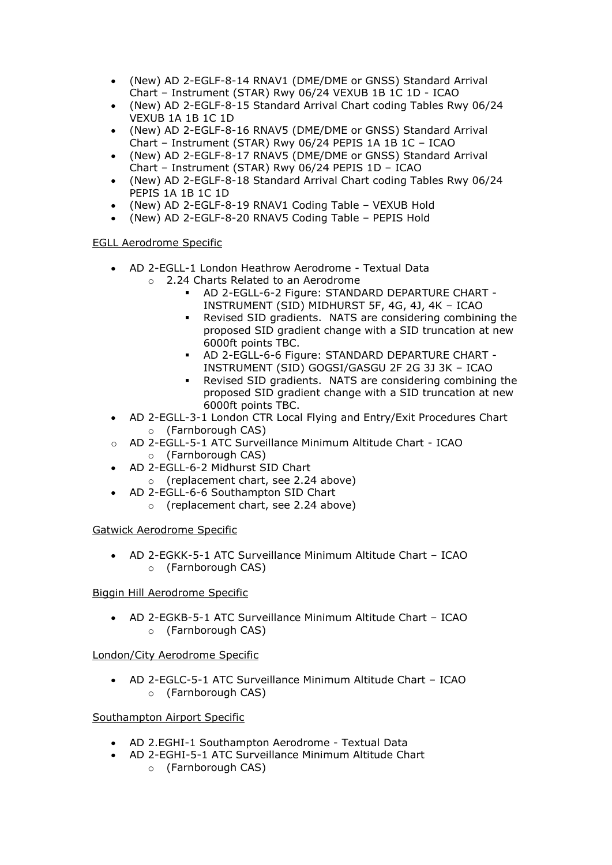- (New) AD 2-EGLF-8-14 RNAV1 (DME/DME or GNSS) Standard Arrival Chart – Instrument (STAR) Rwy 06/24 VEXUB 1B 1C 1D - ICAO
- (New) AD 2-EGLF-8-15 Standard Arrival Chart coding Tables Rwy 06/24 VEXUB 1A 1B 1C 1D
- (New) AD 2-EGLF-8-16 RNAV5 (DME/DME or GNSS) Standard Arrival Chart – Instrument (STAR) Rwy 06/24 PEPIS 1A 1B 1C – ICAO
- (New) AD 2-EGLF-8-17 RNAV5 (DME/DME or GNSS) Standard Arrival Chart – Instrument (STAR) Rwy 06/24 PEPIS 1D – ICAO
- (New) AD 2-EGLF-8-18 Standard Arrival Chart coding Tables Rwy 06/24 PEPIS 1A 1B 1C 1D
- (New) AD 2-EGLF-8-19 RNAV1 Coding Table VEXUB Hold
- (New) AD 2-EGLF-8-20 RNAV5 Coding Table PEPIS Hold

### EGLL Aerodrome Specific

- AD 2-EGLL-1 London Heathrow Aerodrome Textual Data
	- o 2.24 Charts Related to an Aerodrome
		- AD 2-EGLL-6-2 Figure: STANDARD DEPARTURE CHART INSTRUMENT (SID) MIDHURST 5F, 4G, 4J, 4K – ICAO
		- Revised SID gradients. NATS are considering combining the proposed SID gradient change with a SID truncation at new 6000ft points TBC.
		- AD 2-EGLL-6-6 Figure: STANDARD DEPARTURE CHART INSTRUMENT (SID) GOGSI/GASGU 2F 2G 3J 3K – ICAO
		- Revised SID gradients. NATS are considering combining the proposed SID gradient change with a SID truncation at new 6000ft points TBC.
- AD 2-EGLL-3-1 London CTR Local Flying and Entry/Exit Procedures Chart o (Farnborough CAS)
- o AD 2-EGLL-5-1 ATC Surveillance Minimum Altitude Chart ICAO o (Farnborough CAS)
- AD 2-EGLL-6-2 Midhurst SID Chart
	- o (replacement chart, see 2.24 above)
- AD 2-EGLL-6-6 Southampton SID Chart
	- o (replacement chart, see 2.24 above)

### Gatwick Aerodrome Specific

 AD 2-EGKK-5-1 ATC Surveillance Minimum Altitude Chart – ICAO o (Farnborough CAS)

### Biggin Hill Aerodrome Specific

 AD 2-EGKB-5-1 ATC Surveillance Minimum Altitude Chart – ICAO o (Farnborough CAS)

## London/City Aerodrome Specific

 AD 2-EGLC-5-1 ATC Surveillance Minimum Altitude Chart – ICAO o (Farnborough CAS)

### Southampton Airport Specific

- AD 2.EGHI-1 Southampton Aerodrome Textual Data
- AD 2-EGHI-5-1 ATC Surveillance Minimum Altitude Chart o (Farnborough CAS)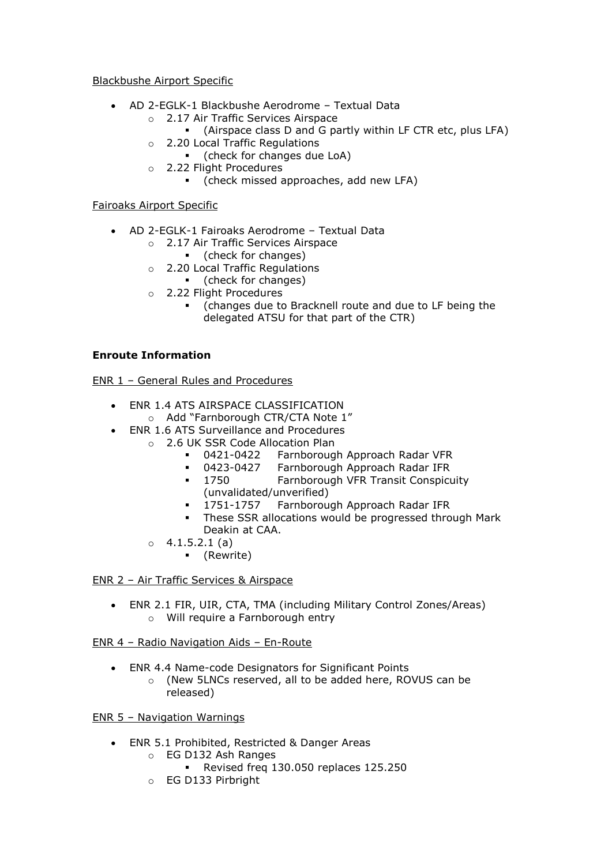Blackbushe Airport Specific

- AD 2-EGLK-1 Blackbushe Aerodrome Textual Data
	- o 2.17 Air Traffic Services Airspace
		- (Airspace class D and G partly within LF CTR etc, plus LFA)
	- o 2.20 Local Traffic Regulations
		- (check for changes due LoA)
	- o 2.22 Flight Procedures
		- (check missed approaches, add new LFA)

Fairoaks Airport Specific

- AD 2-EGLK-1 Fairoaks Aerodrome Textual Data
	- o 2.17 Air Traffic Services Airspace
		- (check for changes)
	- o 2.20 Local Traffic Regulations
		- (check for changes)
	- o 2.22 Flight Procedures
		- (changes due to Bracknell route and due to LF being the delegated ATSU for that part of the CTR)

### **Enroute Information**

ENR 1 – General Rules and Procedures

- ENR 1.4 ATS AIRSPACE CLASSIFICATION
	- o Add "Farnborough CTR/CTA Note 1"
- ENR 1.6 ATS Surveillance and Procedures
	- o 2.6 UK SSR Code Allocation Plan
		- 0421-0422 Farnborough Approach Radar VFR<br>0423-0427 Farnborough Approach Radar IFR
		- Farnborough Approach Radar IFR
		- 1750 Farnborough VFR Transit Conspicuity (unvalidated/unverified)
		- 1751-1757 Farnborough Approach Radar IFR
		- **These SSR allocations would be progressed through Mark** Deakin at CAA.
	- $\circ$  4.1.5.2.1 (a)
		- (Rewrite)

ENR 2 – Air Traffic Services & Airspace

 ENR 2.1 FIR, UIR, CTA, TMA (including Military Control Zones/Areas) o Will require a Farnborough entry

### ENR 4 – Radio Navigation Aids – En-Route

 ENR 4.4 Name-code Designators for Significant Points o (New 5LNCs reserved, all to be added here, ROVUS can be released)

ENR 5 – Navigation Warnings

- ENR 5.1 Prohibited, Restricted & Danger Areas
	- o EG D132 Ash Ranges
		- Revised freq 130.050 replaces 125.250
	- o EG D133 Pirbright